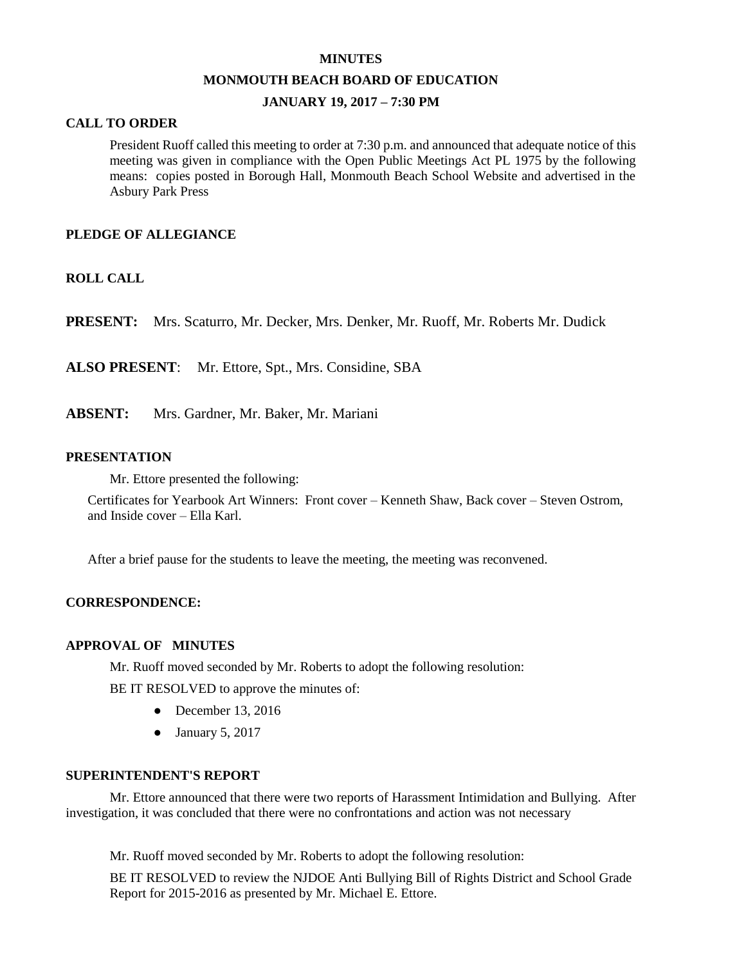#### **MINUTES**

#### **MONMOUTH BEACH BOARD OF EDUCATION**

### **JANUARY 19, 2017 – 7:30 PM**

### **CALL TO ORDER**

President Ruoff called this meeting to order at 7:30 p.m. and announced that adequate notice of this meeting was given in compliance with the Open Public Meetings Act PL 1975 by the following means: copies posted in Borough Hall, Monmouth Beach School Website and advertised in the Asbury Park Press

### **PLEDGE OF ALLEGIANCE**

### **ROLL CALL**

**PRESENT:** Mrs. Scaturro, Mr. Decker, Mrs. Denker, Mr. Ruoff, Mr. Roberts Mr. Dudick

**ALSO PRESENT**: Mr. Ettore, Spt., Mrs. Considine, SBA

**ABSENT:** Mrs. Gardner, Mr. Baker, Mr. Mariani

#### **PRESENTATION**

Mr. Ettore presented the following:

Certificates for Yearbook Art Winners: Front cover – Kenneth Shaw, Back cover – Steven Ostrom, and Inside cover – Ella Karl.

After a brief pause for the students to leave the meeting, the meeting was reconvened.

#### **CORRESPONDENCE:**

#### **APPROVAL OF MINUTES**

Mr. Ruoff moved seconded by Mr. Roberts to adopt the following resolution:

BE IT RESOLVED to approve the minutes of:

- December 13, 2016
- January 5, 2017

#### **SUPERINTENDENT'S REPORT**

Mr. Ettore announced that there were two reports of Harassment Intimidation and Bullying. After investigation, it was concluded that there were no confrontations and action was not necessary

Mr. Ruoff moved seconded by Mr. Roberts to adopt the following resolution:

BE IT RESOLVED to review the NJDOE Anti Bullying Bill of Rights District and School Grade Report for 2015-2016 as presented by Mr. Michael E. Ettore.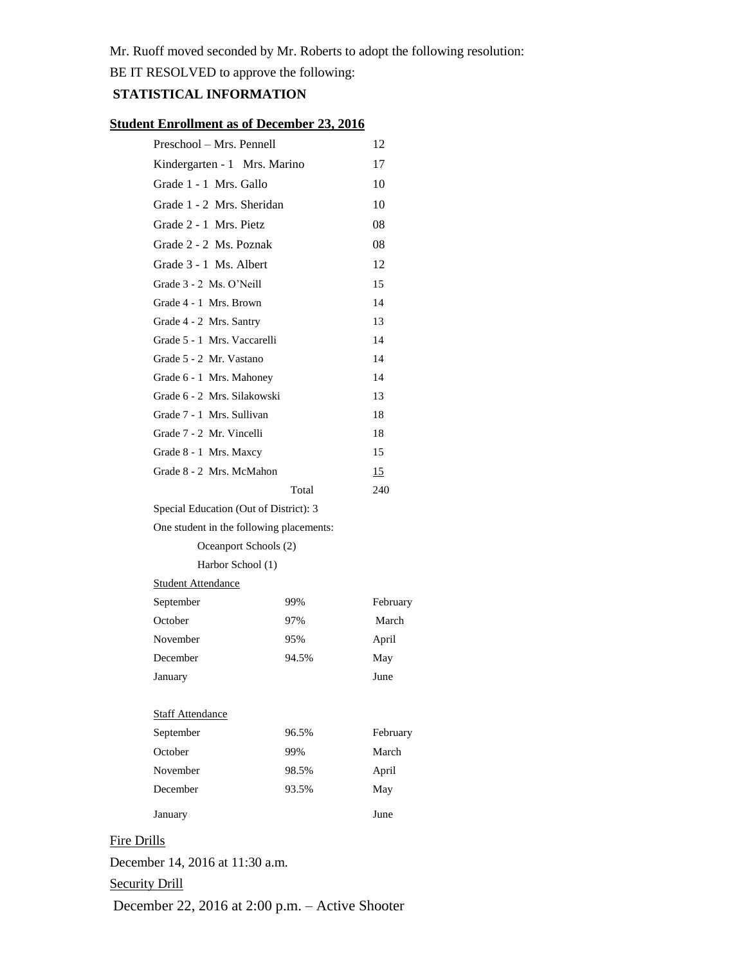Mr. Ruoff moved seconded by Mr. Roberts to adopt the following resolution:

BE IT RESOLVED to approve the following:

## **STATISTICAL INFORMATION**

## **Student Enrollment as of December 23, 2016**

| Preschool - Mrs. Pennell                 |       | 12       |
|------------------------------------------|-------|----------|
| Kindergarten - 1 Mrs. Marino             |       | 17       |
| Grade 1 - 1 Mrs. Gallo                   |       | 10       |
| Grade 1 - 2 Mrs. Sheridan                |       | 10       |
| Grade 2 - 1 Mrs. Pietz                   |       | 08       |
| Grade 2 - 2 Ms. Poznak                   |       | 08       |
| Grade 3 - 1 Ms. Albert                   |       | 12       |
| Grade 3 - 2 Ms. O'Neill                  |       | 15       |
| Grade 4 - 1 Mrs. Brown                   |       | 14       |
| Grade 4 - 2 Mrs. Santry                  |       | 13       |
| Grade 5 - 1 Mrs. Vaccarelli              |       | 14       |
| Grade 5 - 2 Mr. Vastano                  |       | 14       |
| Grade 6 - 1 Mrs. Mahoney                 |       | 14       |
| Grade 6 - 2 Mrs. Silakowski              |       | 13       |
| Grade 7 - 1 Mrs. Sullivan                |       | 18       |
| Grade 7 - 2 Mr. Vincelli                 |       | 18       |
| Grade 8 - 1 Mrs. Maxcy                   |       | 15       |
| Grade 8 - 2 Mrs. McMahon                 |       | 15       |
|                                          | Total | 240      |
| Special Education (Out of District): 3   |       |          |
| One student in the following placements: |       |          |
| Oceanport Schools (2)                    |       |          |
| Harbor School (1)                        |       |          |
| <b>Student Attendance</b>                |       |          |
| September                                | 99%   | February |
| October                                  | 97%   | March    |
| November                                 | 95%   | April    |
| December                                 | 94.5% | May      |
| January                                  |       | June     |
|                                          |       |          |
| <b>Staff Attendance</b>                  |       |          |
| September                                | 96.5% | February |
| October                                  | 99%   | March    |
| November                                 | 98.5% | April    |
| December                                 |       |          |
|                                          | 93.5% | May      |
| January                                  |       | June     |

# Fire Drills

December 14, 2016 at 11:30 a.m.

## Security Drill

December 22, 2016 at 2:00 p.m. – Active Shooter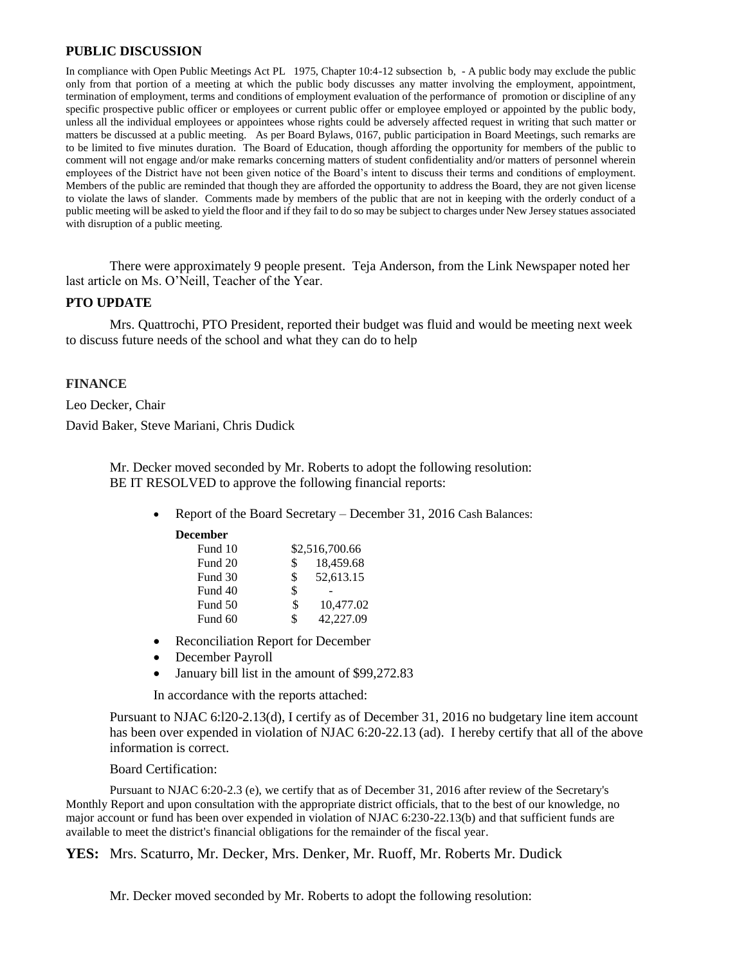### **PUBLIC DISCUSSION**

In compliance with Open Public Meetings Act PL 1975, Chapter 10:4-12 subsection b, - A public body may exclude the public only from that portion of a meeting at which the public body discusses any matter involving the employment, appointment, termination of employment, terms and conditions of employment evaluation of the performance of promotion or discipline of any specific prospective public officer or employees or current public offer or employee employed or appointed by the public body, unless all the individual employees or appointees whose rights could be adversely affected request in writing that such matter or matters be discussed at a public meeting. As per Board Bylaws, 0167, public participation in Board Meetings, such remarks are to be limited to five minutes duration. The Board of Education, though affording the opportunity for members of the public to comment will not engage and/or make remarks concerning matters of student confidentiality and/or matters of personnel wherein employees of the District have not been given notice of the Board's intent to discuss their terms and conditions of employment. Members of the public are reminded that though they are afforded the opportunity to address the Board, they are not given license to violate the laws of slander. Comments made by members of the public that are not in keeping with the orderly conduct of a public meeting will be asked to yield the floor and if they fail to do so may be subject to charges under New Jersey statues associated with disruption of a public meeting.

There were approximately 9 people present. Teja Anderson, from the Link Newspaper noted her last article on Ms. O'Neill, Teacher of the Year.

### **PTO UPDATE**

Mrs. Quattrochi, PTO President, reported their budget was fluid and would be meeting next week to discuss future needs of the school and what they can do to help

### **FINANCE**

Leo Decker, Chair

David Baker, Steve Mariani, Chris Dudick

Mr. Decker moved seconded by Mr. Roberts to adopt the following resolution: BE IT RESOLVED to approve the following financial reports:

- Report of the Board Secretary December 31, 2016 Cash Balances:
	- **December**

| Fund 10 |     | \$2,516,700.66 |
|---------|-----|----------------|
| Fund 20 | \$  | 18,459.68      |
| Fund 30 | \$. | 52,613.15      |
| Fund 40 | \$  |                |
| Fund 50 | S   | 10.477.02      |
| Fund 60 | S   | 42,227.09      |

- Reconciliation Report for December
- December Payroll
- January bill list in the amount of \$99,272.83

In accordance with the reports attached:

Pursuant to NJAC 6:l20-2.13(d), I certify as of December 31, 2016 no budgetary line item account has been over expended in violation of NJAC 6:20-22.13 (ad). I hereby certify that all of the above information is correct.

#### Board Certification:

Pursuant to NJAC 6:20-2.3 (e), we certify that as of December 31, 2016 after review of the Secretary's Monthly Report and upon consultation with the appropriate district officials, that to the best of our knowledge, no major account or fund has been over expended in violation of NJAC 6:230-22.13(b) and that sufficient funds are available to meet the district's financial obligations for the remainder of the fiscal year.

**YES:** Mrs. Scaturro, Mr. Decker, Mrs. Denker, Mr. Ruoff, Mr. Roberts Mr. Dudick

Mr. Decker moved seconded by Mr. Roberts to adopt the following resolution: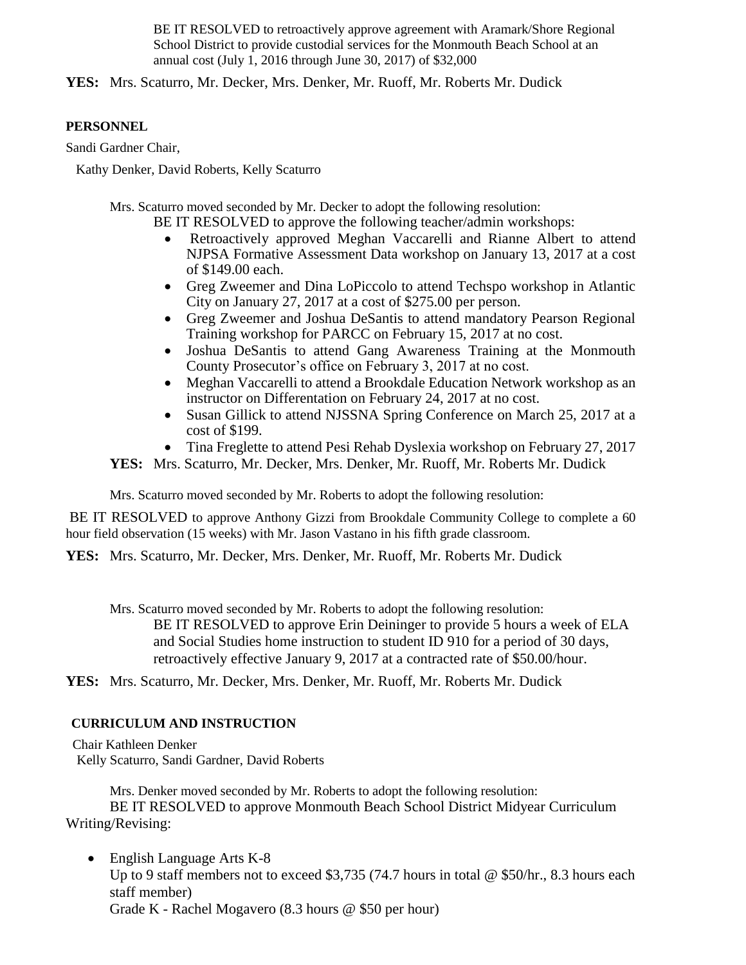BE IT RESOLVED to retroactively approve agreement with Aramark/Shore Regional School District to provide custodial services for the Monmouth Beach School at an annual cost (July 1, 2016 through June 30, 2017) of \$32,000

**YES:** Mrs. Scaturro, Mr. Decker, Mrs. Denker, Mr. Ruoff, Mr. Roberts Mr. Dudick

## **PERSONNEL**

Sandi Gardner Chair,

Kathy Denker, David Roberts, Kelly Scaturro

Mrs. Scaturro moved seconded by Mr. Decker to adopt the following resolution:

BE IT RESOLVED to approve the following teacher/admin workshops:

- Retroactively approved Meghan Vaccarelli and Rianne Albert to attend NJPSA Formative Assessment Data workshop on January 13, 2017 at a cost of \$149.00 each.
- Greg Zweemer and Dina LoPiccolo to attend Techspo workshop in Atlantic City on January 27, 2017 at a cost of \$275.00 per person.
- Greg Zweemer and Joshua DeSantis to attend mandatory Pearson Regional Training workshop for PARCC on February 15, 2017 at no cost.
- Joshua DeSantis to attend Gang Awareness Training at the Monmouth County Prosecutor's office on February 3, 2017 at no cost.
- Meghan Vaccarelli to attend a Brookdale Education Network workshop as an instructor on Differentation on February 24, 2017 at no cost.
- Susan Gillick to attend NJSSNA Spring Conference on March 25, 2017 at a cost of \$199.
- Tina Freglette to attend Pesi Rehab Dyslexia workshop on February 27, 2017

**YES:** Mrs. Scaturro, Mr. Decker, Mrs. Denker, Mr. Ruoff, Mr. Roberts Mr. Dudick

Mrs. Scaturro moved seconded by Mr. Roberts to adopt the following resolution:

BE IT RESOLVED to approve Anthony Gizzi from Brookdale Community College to complete a 60 hour field observation (15 weeks) with Mr. Jason Vastano in his fifth grade classroom.

**YES:** Mrs. Scaturro, Mr. Decker, Mrs. Denker, Mr. Ruoff, Mr. Roberts Mr. Dudick

Mrs. Scaturro moved seconded by Mr. Roberts to adopt the following resolution:

BE IT RESOLVED to approve Erin Deininger to provide 5 hours a week of ELA and Social Studies home instruction to student ID 910 for a period of 30 days, retroactively effective January 9, 2017 at a contracted rate of \$50.00/hour.

**YES:** Mrs. Scaturro, Mr. Decker, Mrs. Denker, Mr. Ruoff, Mr. Roberts Mr. Dudick

## **CURRICULUM AND INSTRUCTION**

Chair Kathleen Denker Kelly Scaturro, Sandi Gardner, David Roberts

Mrs. Denker moved seconded by Mr. Roberts to adopt the following resolution: BE IT RESOLVED to approve Monmouth Beach School District Midyear Curriculum Writing/Revising:

• English Language Arts K-8 Up to 9 staff members not to exceed \$3,735 (74.7 hours in total  $\omega$  \$50/hr., 8.3 hours each staff member) Grade K - Rachel Mogavero (8.3 hours @ \$50 per hour)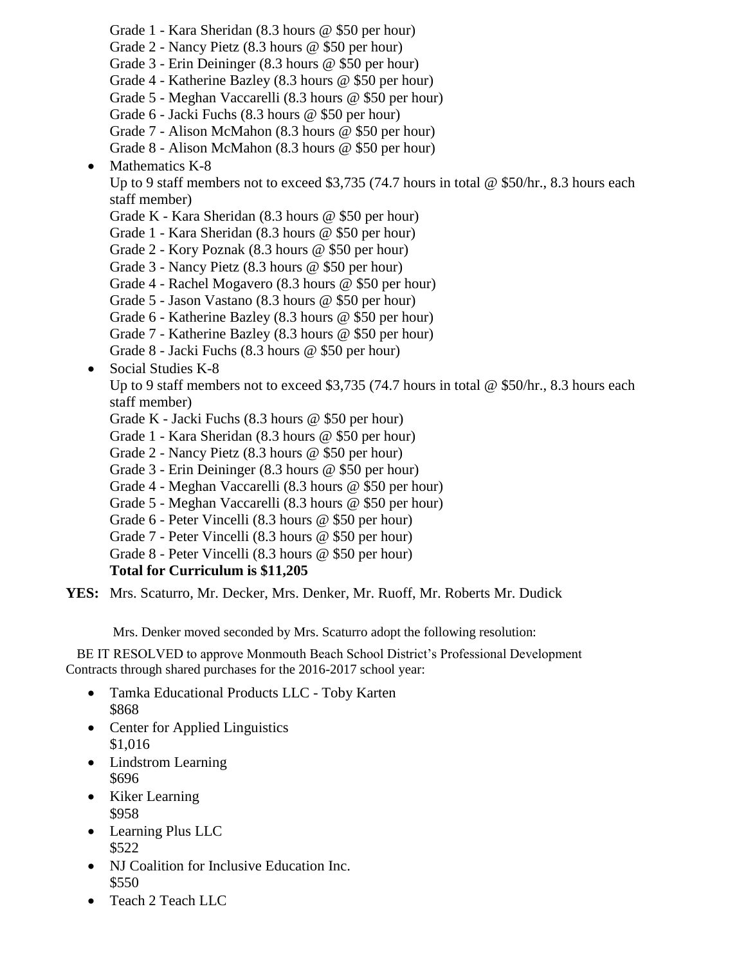- Grade 1 Kara Sheridan (8.3 hours @ \$50 per hour)
- Grade 2 Nancy Pietz (8.3 hours @ \$50 per hour)
- Grade 3 Erin Deininger (8.3 hours @ \$50 per hour)
- Grade 4 Katherine Bazley (8.3 hours @ \$50 per hour)
- Grade 5 Meghan Vaccarelli (8.3 hours @ \$50 per hour)
- Grade 6 Jacki Fuchs (8.3 hours @ \$50 per hour)
- Grade 7 Alison McMahon (8.3 hours @ \$50 per hour)
- Grade 8 Alison McMahon (8.3 hours @ \$50 per hour)
- $\bullet$  Mathematics K-8

Up to 9 staff members not to exceed \$3,735 (74.7 hours in total  $\omega$  \$50/hr., 8.3 hours each staff member)

- Grade K Kara Sheridan (8.3 hours @ \$50 per hour)
- Grade 1 Kara Sheridan (8.3 hours @ \$50 per hour)
- Grade 2 Kory Poznak (8.3 hours @ \$50 per hour)
- Grade 3 Nancy Pietz (8.3 hours @ \$50 per hour)
- Grade 4 Rachel Mogavero (8.3 hours @ \$50 per hour)
- Grade 5 Jason Vastano (8.3 hours @ \$50 per hour)
- Grade 6 Katherine Bazley (8.3 hours @ \$50 per hour)
- Grade 7 Katherine Bazley (8.3 hours @ \$50 per hour)
- Grade 8 Jacki Fuchs (8.3 hours @ \$50 per hour)
- Social Studies K-8

Up to 9 staff members not to exceed \$3,735 (74.7 hours in total  $\omega$  \$50/hr., 8.3 hours each staff member)

- Grade K Jacki Fuchs (8.3 hours @ \$50 per hour)
- Grade 1 Kara Sheridan (8.3 hours @ \$50 per hour)
- Grade 2 Nancy Pietz (8.3 hours @ \$50 per hour)
- Grade 3 Erin Deininger (8.3 hours @ \$50 per hour)
- Grade 4 Meghan Vaccarelli (8.3 hours @ \$50 per hour)
- Grade 5 Meghan Vaccarelli (8.3 hours @ \$50 per hour)
- Grade 6 Peter Vincelli (8.3 hours @ \$50 per hour)
- Grade 7 Peter Vincelli (8.3 hours @ \$50 per hour)
- Grade 8 Peter Vincelli (8.3 hours @ \$50 per hour)

## **Total for Curriculum is \$11,205**

**YES:** Mrs. Scaturro, Mr. Decker, Mrs. Denker, Mr. Ruoff, Mr. Roberts Mr. Dudick

Mrs. Denker moved seconded by Mrs. Scaturro adopt the following resolution:

BE IT RESOLVED to approve Monmouth Beach School District's Professional Development Contracts through shared purchases for the 2016-2017 school year:

- Tamka Educational Products LLC Toby Karten \$868
- Center for Applied Linguistics \$1,016
- Lindstrom Learning \$696
- Kiker Learning \$958
- Learning Plus LLC \$522
- NJ Coalition for Inclusive Education Inc. \$550
- Teach 2 Teach LLC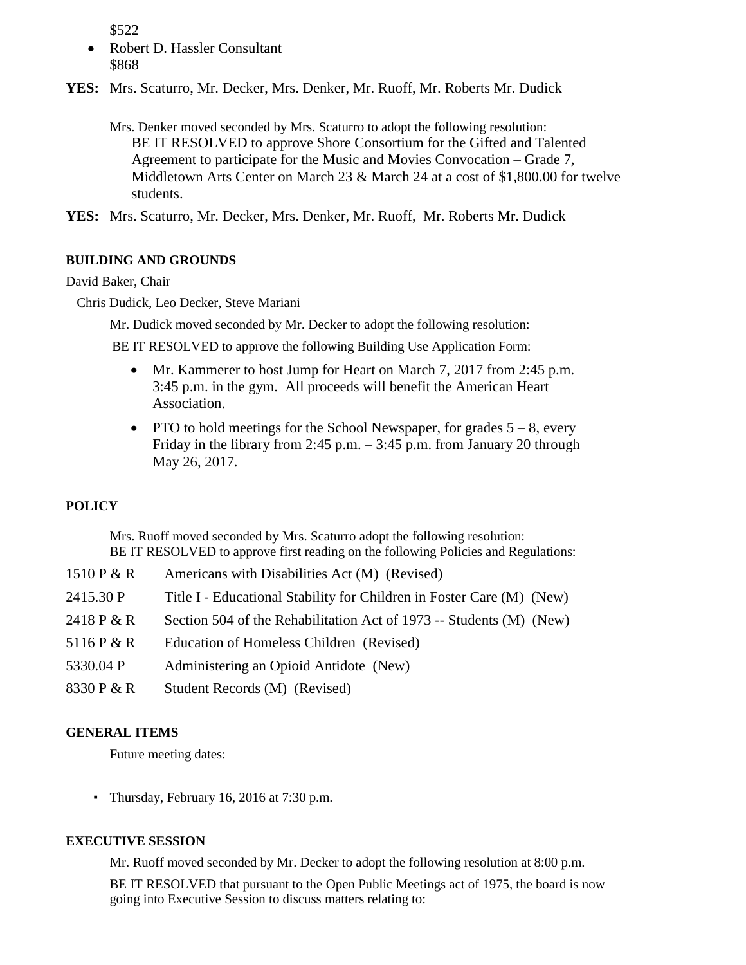\$522

- Robert D. Hassler Consultant \$868
- **YES:** Mrs. Scaturro, Mr. Decker, Mrs. Denker, Mr. Ruoff, Mr. Roberts Mr. Dudick

Mrs. Denker moved seconded by Mrs. Scaturro to adopt the following resolution: BE IT RESOLVED to approve Shore Consortium for the Gifted and Talented Agreement to participate for the Music and Movies Convocation – Grade 7, Middletown Arts Center on March 23 & March 24 at a cost of \$1,800.00 for twelve students.

**YES:** Mrs. Scaturro, Mr. Decker, Mrs. Denker, Mr. Ruoff, Mr. Roberts Mr. Dudick

### **BUILDING AND GROUNDS**

### David Baker, Chair

Chris Dudick, Leo Decker, Steve Mariani

Mr. Dudick moved seconded by Mr. Decker to adopt the following resolution:

BE IT RESOLVED to approve the following Building Use Application Form:

- Mr. Kammerer to host Jump for Heart on March 7, 2017 from 2:45 p.m. 3:45 p.m. in the gym. All proceeds will benefit the American Heart Association.
- PTO to hold meetings for the School Newspaper, for grades  $5 8$ , every Friday in the library from 2:45 p.m.  $-$  3:45 p.m. from January 20 through May 26, 2017.

## **POLICY**

Mrs. Ruoff moved seconded by Mrs. Scaturro adopt the following resolution: BE IT RESOLVED to approve first reading on the following Policies and Regulations:

| 1510 $P & R$ | Americans with Disabilities Act (M) (Revised)                         |
|--------------|-----------------------------------------------------------------------|
| 2415.30 P    | Title I - Educational Stability for Children in Foster Care (M) (New) |
| 2418 P & R   | Section 504 of the Rehabilitation Act of 1973 -- Students (M) (New)   |
| 5116 P & R   | Education of Homeless Children (Revised)                              |
| 5330.04 P    | Administering an Opioid Antidote (New)                                |
| 8330 P & R   | Student Records (M) (Revised)                                         |

## **GENERAL ITEMS**

Future meeting dates:

▪ Thursday, February 16, 2016 at 7:30 p.m.

## **EXECUTIVE SESSION**

Mr. Ruoff moved seconded by Mr. Decker to adopt the following resolution at 8:00 p.m.

BE IT RESOLVED that pursuant to the Open Public Meetings act of 1975, the board is now going into Executive Session to discuss matters relating to: